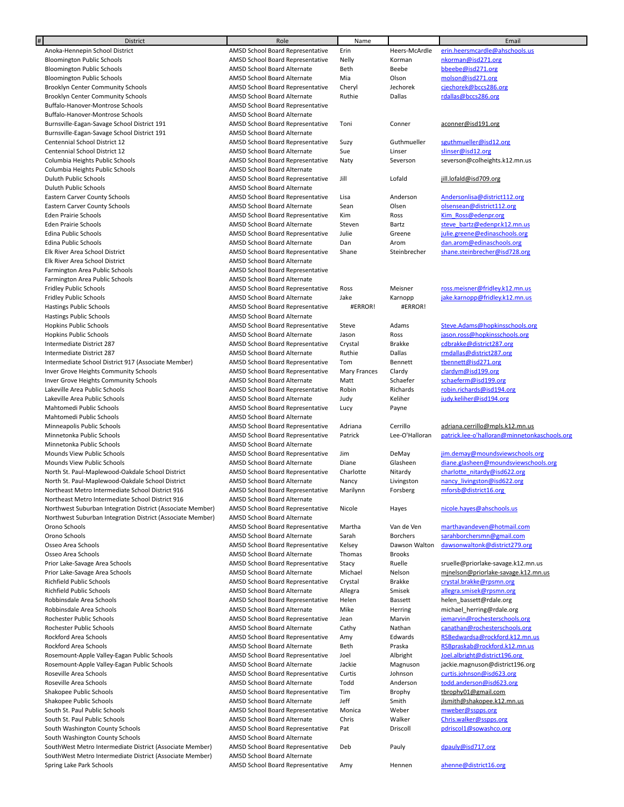| #<br><b>District</b>                                       | Role                             | Name         |                 | Email                                        |
|------------------------------------------------------------|----------------------------------|--------------|-----------------|----------------------------------------------|
| Anoka-Hennepin School District                             | AMSD School Board Representative | Erin         | Heers-McArdle   | erin.heersmcardle@ahschools.us               |
| <b>Bloomington Public Schools</b>                          | AMSD School Board Representative | Nelly        | Korman          | nkorman@isd271.org                           |
| <b>Bloomington Public Schools</b>                          | AMSD School Board Alternate      | Beth         | Beebe           | bbeebe@isd271.org                            |
| <b>Bloomington Public Schools</b>                          | AMSD School Board Alternate      | Mia          | Olson           | molson@isd271.org                            |
| <b>Brooklyn Center Community Schools</b>                   | AMSD School Board Representative | Cheryl       | Jechorek        | cjechorek@bccs286.org                        |
| <b>Brooklyn Center Community Schools</b>                   | AMSD School Board Alternate      | Ruthie       | Dallas          | rdallas@bccs286.org                          |
| Buffalo-Hanover-Montrose Schools                           | AMSD School Board Representative |              |                 |                                              |
| Buffalo-Hanover-Montrose Schools                           | AMSD School Board Alternate      |              |                 |                                              |
| Burnsville-Eagan-Savage School District 191                | AMSD School Board Representative | Toni         | Conner          | aconner@isd191.org                           |
| Burnsville-Eagan-Savage School District 191                | AMSD School Board Alternate      |              |                 |                                              |
| Centennial School District 12                              | AMSD School Board Representative | Suzy         | Guthmueller     | sguthmueller@isd12.org                       |
| Centennial School District 12                              | AMSD School Board Alternate      | Sue          | Linser          | slinser@isd12.org                            |
|                                                            |                                  |              |                 |                                              |
| Columbia Heights Public Schools                            | AMSD School Board Representative | Naty         | Severson        | severson@colheights.k12.mn.us                |
| Columbia Heights Public Schools                            | AMSD School Board Alternate      |              |                 |                                              |
| Duluth Public Schools                                      | AMSD School Board Representative | Jill         | Lofald          | jill.lofald@isd709.org                       |
| Duluth Public Schools                                      | AMSD School Board Alternate      |              |                 |                                              |
| Eastern Carver County Schools                              | AMSD School Board Representative | Lisa         | Anderson        | Andersonlisa@district112.org                 |
| Eastern Carver County Schools                              | AMSD School Board Alternate      | Sean         | Olsen           | olsensean@district112.org                    |
| Eden Prairie Schools                                       | AMSD School Board Representative | Kim          | Ross            | Kim Ross@edenpr.org                          |
| Eden Prairie Schools                                       | AMSD School Board Alternate      | Steven       | Bartz           | steve bartz@edenpr.k12.mn.us                 |
| <b>Edina Public Schools</b>                                | AMSD School Board Representative | Julie        | Greene          | julie.greene@edinaschools.org                |
| <b>Edina Public Schools</b>                                | AMSD School Board Alternate      | Dan          | Arom            | dan.arom@edinaschools.org                    |
| Elk River Area School District                             | AMSD School Board Representative | Shane        | Steinbrecher    | shane.steinbrecher@isd728.org                |
| Elk River Area School District                             | AMSD School Board Alternate      |              |                 |                                              |
| Farmington Area Public Schools                             | AMSD School Board Representative |              |                 |                                              |
| Farmington Area Public Schools                             | AMSD School Board Alternate      |              |                 |                                              |
| <b>Fridley Public Schools</b>                              | AMSD School Board Representative | Ross         | Meisner         | ross.meisner@fridley.k12.mn.us               |
| Fridley Public Schools                                     | AMSD School Board Alternate      | Jake         | Karnopp         | jake.karnopp@fridley.k12.mn.us               |
| <b>Hastings Public Schools</b>                             | AMSD School Board Representative | #ERROR!      | #ERROR!         |                                              |
|                                                            |                                  |              |                 |                                              |
| <b>Hastings Public Schools</b>                             | AMSD School Board Alternate      |              |                 |                                              |
| <b>Hopkins Public Schools</b>                              | AMSD School Board Representative | Steve        | Adams           | Steve.Adams@hopkinsschools.org               |
| <b>Hopkins Public Schools</b>                              | AMSD School Board Alternate      | Jason        | Ross            | jason.ross@hopkinsschools.org                |
| Intermediate District 287                                  | AMSD School Board Representative | Crystal      | <b>Brakke</b>   | cdbrakke@district287.org                     |
| Intermediate District 287                                  | AMSD School Board Alternate      | Ruthie       | Dallas          | rmdallas@district287.org                     |
| Intermediate School District 917 (Associate Member)        | AMSD School Board Representative | Tom          | Bennett         | tbennett@isd271.org                          |
| Inver Grove Heights Community Schools                      | AMSD School Board Representative | Mary Frances | Clardy          | clardym@isd199.org                           |
| Inver Grove Heights Community Schools                      | AMSD School Board Alternate      | Matt         | Schaefer        | schaeferm@isd199.org                         |
| Lakeville Area Public Schools                              | AMSD School Board Representative | Robin        | Richards        | robin.richards@isd194.org                    |
| Lakeville Area Public Schools                              | AMSD School Board Alternate      | Judy         | Keliher         | judy.keliher@isd194.org                      |
| Mahtomedi Public Schools                                   | AMSD School Board Representative | Lucy         | Payne           |                                              |
| Mahtomedi Public Schools                                   | AMSD School Board Alternate      |              |                 |                                              |
| Minneapolis Public Schools                                 | AMSD School Board Representative | Adriana      | Cerrillo        | adriana.cerrillo@mpls.k12.mn.us              |
| Minnetonka Public Schools                                  | AMSD School Board Representative | Patrick      | Lee-O'Halloran  | patrick.lee-o'halloran@minnetonkaschools.org |
| Minnetonka Public Schools                                  | AMSD School Board Alternate      |              |                 |                                              |
| Mounds View Public Schools                                 | AMSD School Board Representative | Jim          | DeMay           | jim.demay@moundsviewschools.org              |
| Mounds View Public Schools                                 | AMSD School Board Alternate      | Diane        | Glasheen        | diane.glasheen@moundsviewschools.org         |
| North St. Paul-Maplewood-Oakdale School District           | AMSD School Board Representative | Charlotte    | Nitardy         | charlotte nitardy@isd622.org                 |
|                                                            | AMSD School Board Alternate      |              |                 |                                              |
| North St. Paul-Maplewood-Oakdale School District           |                                  | Nancy        | Livingston      | nancy livingston@isd622.org                  |
| Northeast Metro Intermediate School District 916           | AMSD School Board Representative | Marilynn     | Forsberg        | mforsb@district16.org                        |
| Northeast Metro Intermediate School District 916           | AMSD School Board Alternate      |              |                 |                                              |
| Northwest Suburban Integration District (Associate Member) | AMSD School Board Representative | Nicole       | Hayes           | nicole.hayes@ahschools.us                    |
| Northwest Suburban Integration District (Associate Member) | AMSD School Board Alternate      |              |                 |                                              |
| Orono Schools                                              | AMSD School Board Representative | Martha       | Van de Ven      | marthavandeven@hotmail.com                   |
| Orono Schools                                              | AMSD School Board Alternate      | Sarah        | <b>Borchers</b> | sarahborchersmn@gmail.com                    |
| Osseo Area Schools                                         | AMSD School Board Representative | Kelsey       | Dawson Walton   | dawsonwaltonk@district279.org                |
| Osseo Area Schools                                         | AMSD School Board Alternate      | Thomas       | <b>Brooks</b>   |                                              |
| Prior Lake-Savage Area Schools                             | AMSD School Board Representative | Stacy        | Ruelle          | sruelle@priorlake-savage.k12.mn.us           |
| Prior Lake-Savage Area Schools                             | AMSD School Board Alternate      | Michael      | Nelson          | minelson@priorlake-savage.k12.mn.us          |
| Richfield Public Schools                                   | AMSD School Board Representative | Crystal      | Brakke          | crystal.brakke@rpsmn.org                     |
| Richfield Public Schools                                   | AMSD School Board Alternate      | Allegra      | Smisek          | allegra.smisek@rpsmn.org                     |
| Robbinsdale Area Schools                                   | AMSD School Board Representative | Helen        | Bassett         | helen bassett@rdale.org                      |
| Robbinsdale Area Schools                                   | AMSD School Board Alternate      | Mike         | Herring         | michael herring@rdale.org                    |
| Rochester Public Schools                                   | AMSD School Board Representative | Jean         | Marvin          | jemarvin@rochesterschools.org                |
| Rochester Public Schools                                   | AMSD School Board Alternate      | Cathy        | Nathan          | canathan@rochesterschools.org                |
|                                                            |                                  |              |                 | RSBedwardsa@rockford.k12.mn.us               |
| Rockford Area Schools                                      | AMSD School Board Representative | Amy          | Edwards         |                                              |
| Rockford Area Schools                                      | AMSD School Board Alternate      | Beth         | Praska          | RSBpraskab@rockford.k12.mn.us                |
| Rosemount-Apple Valley-Eagan Public Schools                | AMSD School Board Representative | Joel         | Albright        | Joel.albright@district196.org                |
| Rosemount-Apple Valley-Eagan Public Schools                | AMSD School Board Alternate      | Jackie       | Magnuson        | jackie.magnuson@district196.org              |
| Roseville Area Schools                                     | AMSD School Board Representative | Curtis       | Johnson         | curtis.johnson@isd623.org                    |
| Roseville Area Schools                                     | AMSD School Board Alternate      | Todd         | Anderson        | todd.anderson@isd623.org                     |
| Shakopee Public Schools                                    | AMSD School Board Representative | Tim          | Brophy          | tbrophy01@gmail.com                          |
| Shakopee Public Schools                                    | AMSD School Board Alternate      | Jeff         | Smith           | jlsmith@shakopee.k12.mn.us                   |
| South St. Paul Public Schools                              | AMSD School Board Representative | Monica       | Weber           | mweber@sspps.org                             |
| South St. Paul Public Schools                              | AMSD School Board Alternate      | Chris        | Walker          | Chris.walker@sspps.org                       |
| South Washington County Schools                            | AMSD School Board Representative | Pat          | Driscoll        | pdriscol1@sowashco.org                       |
| South Washington County Schools                            | AMSD School Board Alternate      |              |                 |                                              |
| SouthWest Metro Intermediate District (Associate Member)   | AMSD School Board Representative | Deb          | Pauly           | dpauly@isd717.org                            |
| SouthWest Metro Intermediate District (Associate Member)   | AMSD School Board Alternate      |              |                 |                                              |
| Spring Lake Park Schools                                   | AMSD School Board Representative | Amy          | Hennen          | ahenne@district16.org                        |